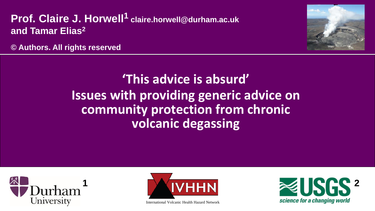#### **Prof. Claire J. Horwell<sup>1</sup> claire.horwell@durham.ac.uk and Tamar Elias2**



**© Authors. All rights reserved**

# **'This advice is absurd' Issues with providing generic advice on community protection from chronic volcanic degassing**





International Volcanic Health Hazard Network

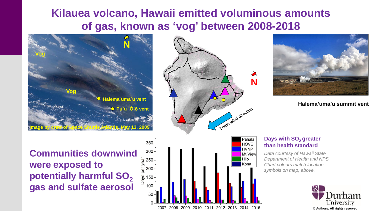#### **Kilauea volcano, Hawaii emitted voluminous amounts of gas, known as 'vog' between 2008-2018**







**Halema'uma'u summit vent** 

**Communities downwind were exposed to potentially harmful SO<sub>2</sub> gas and sulfate aerosol**



#### 2007 2008 2009 2010 2011 2012 2013 2014 2015

**Days with SO<sub>2</sub> greater than health standard** 

*Data courtesy of Hawaii State Department of Health and NPS. Chart colours match location symbols on map, above.*

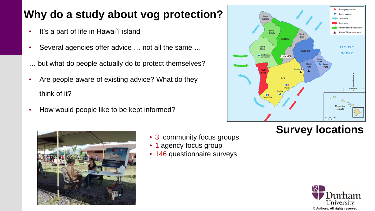## **Why do a study about vog protection?**

- It's a part of life in Hawai'i island
- Several agencies offer advice ... not all the same ...
- … but what do people actually do to protect themselves?
- Are people aware of existing advice? What do they think of it?
- How would people like to be kept informed?



### **Survey locations**



- 3 community focus groups
- 1 agency focus group
- 146 questionnaire surveys

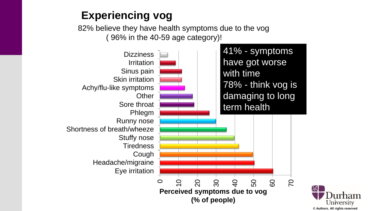#### **Experiencing vog**

82% believe they have health symptoms due to the vog ( 96% in the 40-59 age category)!



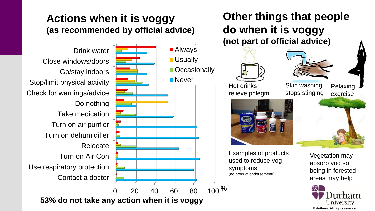#### **Actions when it is voggy (as recommended by official advice)**

■ Always

**Usually** 

**Never** 

**Occasionally** 

Contact a doctor Use respiratory protection Turn on Air Con Relocate Turn on dehumidifier Turn on air purifier Take medication Do nothing Check for warnings/advice Stop/limit physical activity Go/stay indoors Close windows/doors Drink water

0 20 40 60 80 100 **% 53% do not take any action when it is voggy**

#### **Other things that people do when it is voggy (not part of official advice)**







Relaxing exercise



Examples of products used to reduce vog symptoms (no product endorsement!)

Vegetation may absorb vog so being in forested areas may help

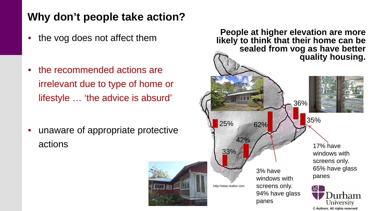#### **Why don't people take action?**

- the vog does not affect them
- the recommended actions are irrelevant due to type of home or lifestyle … 'the advice is absurd'

• unaware of appropriate protective actions





**© Authors. All rights reserved**